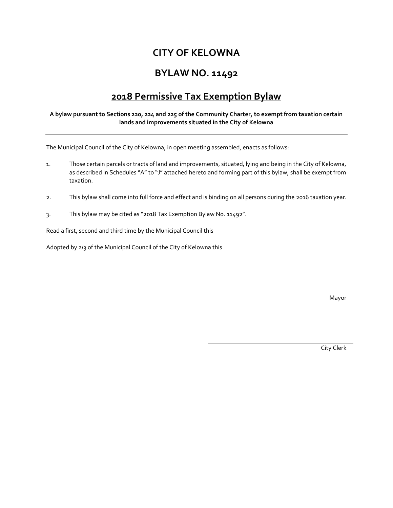# **CITY OF KELOWNA**

# **BYLAW NO. 11492**

# **2018 Permissive Tax Exemption Bylaw**

#### **A bylaw pursuant to Sections 220, 224 and 225 of the Community Charter, to exempt from taxation certain lands and improvements situated in the City of Kelowna**

The Municipal Council of the City of Kelowna, in open meeting assembled, enacts as follows:

- 1. Those certain parcels or tracts of land and improvements, situated, lying and being in the City of Kelowna, as described in Schedules "A" to "J" attached hereto and forming part of this bylaw, shall be exempt from taxation.
- 2. This bylaw shall come into full force and effect and is binding on all persons during the 2016 taxation year.
- 3. This bylaw may be cited as "2018 Tax Exemption Bylaw No. 11492".

Read a first, second and third time by the Municipal Council this

Adopted by 2/3 of the Municipal Council of the City of Kelowna this

Mayor

City Clerk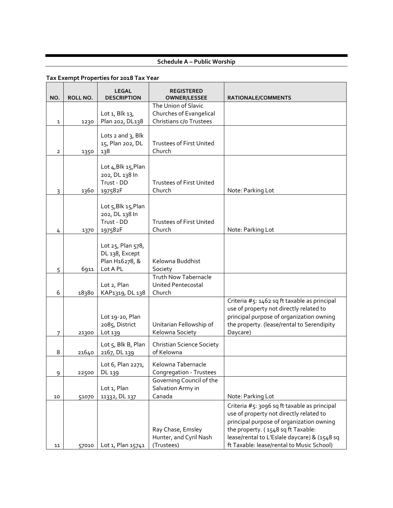# **Schedule A – Public Worship**

| NO.            | ROLL NO. | <b>LEGAL</b><br><b>DESCRIPTION</b>                                | <b>REGISTERED</b><br><b>OWNER/LESSEE</b>                           | RATIONALE/COMMENTS                                                                                                                                                                                                                                                     |
|----------------|----------|-------------------------------------------------------------------|--------------------------------------------------------------------|------------------------------------------------------------------------------------------------------------------------------------------------------------------------------------------------------------------------------------------------------------------------|
|                |          |                                                                   | The Union of Slavic                                                |                                                                                                                                                                                                                                                                        |
|                |          | Lot 1, Blk 13,                                                    | Churches of Evangelical                                            |                                                                                                                                                                                                                                                                        |
| 1              | 1230     | Plan 202, DL138                                                   | Christians c/o Trustees                                            |                                                                                                                                                                                                                                                                        |
| $\overline{2}$ | 1350     | Lots $2$ and $3$ , Blk<br>15, Plan 202, DL<br>138                 | <b>Trustees of First United</b><br>Church                          |                                                                                                                                                                                                                                                                        |
| 3              | 1360     | Lot 4, Blk 15, Plan<br>202, DL 138 In<br>Trust - DD<br>197582F    | <b>Trustees of First United</b><br>Church                          | Note: Parking Lot                                                                                                                                                                                                                                                      |
| 4              | 1370     | Lot 5, Blk 15, Plan<br>202, DL 138 In<br>Trust - DD<br>197582F    | <b>Trustees of First United</b><br>Church                          | Note: Parking Lot                                                                                                                                                                                                                                                      |
| 5              | 6911     | Lot 25, Plan 578,<br>DL 138, Except<br>Plan H16278, &<br>Lot A PL | Kelowna Buddhist<br>Society                                        |                                                                                                                                                                                                                                                                        |
| 6              | 18380    | Lot 2, Plan<br>KAP1319, DL 138                                    | <b>Truth Now Tabernacle</b><br><b>United Pentecostal</b><br>Church |                                                                                                                                                                                                                                                                        |
| $\overline{7}$ | 21300    | Lot 19-20, Plan<br>2085, District<br>Lot 139                      | Unitarian Fellowship of<br>Kelowna Society                         | Criteria #5: 1462 sq ft taxable as principal<br>use of property not directly related to<br>principal purpose of organization owning<br>the property. (lease/rental to Serendipity<br>Daycare)                                                                          |
| 8              | 21640    | Lot 5, Blk B, Plan<br>2167, DL 139                                | <b>Christian Science Society</b><br>of Kelowna                     |                                                                                                                                                                                                                                                                        |
| 9              | 22500    | Lot 6, Plan 2271,<br>DL 139                                       | Kelowna Tabernacle<br>Congregation - Trustees                      |                                                                                                                                                                                                                                                                        |
| 10             | 51070    | Lot 1, Plan<br>11332, DL 137                                      | Governing Council of the<br>Salvation Army in<br>Canada            | Note: Parking Lot                                                                                                                                                                                                                                                      |
| 11             | 57010    | Lot 1, Plan 15741                                                 | Ray Chase, Emsley<br>Hunter, and Cyril Nash<br>(Trustees)          | Criteria #5: 3096 sq ft taxable as principal<br>use of property not directly related to<br>principal purpose of organization owning<br>the property. (1548 sq ft Taxable:<br>lease/rental to L'Eslale daycare) & (1548 sq<br>ft Taxable: lease/rental to Music School) |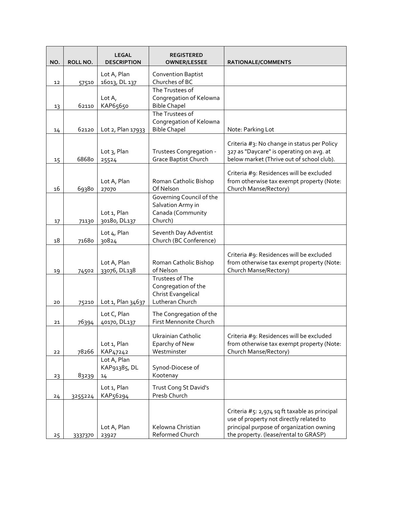| NO. | ROLL NO. | <b>LEGAL</b><br><b>DESCRIPTION</b> | <b>REGISTERED</b><br><b>OWNER/LESSEE</b>       | <b>RATIONALE/COMMENTS</b>                                                                |
|-----|----------|------------------------------------|------------------------------------------------|------------------------------------------------------------------------------------------|
|     |          | Lot A, Plan                        | <b>Convention Baptist</b>                      |                                                                                          |
| 12  | 57510    | 16013, DL 137                      | Churches of BC                                 |                                                                                          |
|     |          |                                    | The Trustees of                                |                                                                                          |
| 13  | 62110    | Lot $A_{I}$<br>KAP65650            | Congregation of Kelowna<br><b>Bible Chapel</b> |                                                                                          |
|     |          |                                    | The Trustees of                                |                                                                                          |
|     |          |                                    | Congregation of Kelowna                        |                                                                                          |
| 14  | 62120    | Lot 2, Plan 17933                  | <b>Bible Chapel</b>                            | Note: Parking Lot                                                                        |
|     |          |                                    |                                                | Criteria #3: No change in status per Policy                                              |
|     |          | Lot 3, Plan                        | Trustees Congregation -                        | 327 as "Daycare" is operating on avg. at                                                 |
| 15  | 68680    | 25524                              | <b>Grace Baptist Church</b>                    | below market (Thrive out of school club).                                                |
|     |          |                                    |                                                | Criteria #9: Residences will be excluded                                                 |
|     |          | Lot A, Plan                        | Roman Catholic Bishop                          | from otherwise tax exempt property (Note:                                                |
| 16  | 69380    | 27070                              | Of Nelson                                      | Church Manse/Rectory)                                                                    |
|     |          |                                    | Governing Council of the                       |                                                                                          |
|     |          | Lot 1, Plan                        | Salvation Army in<br>Canada (Community         |                                                                                          |
| 17  | 71130    | 30180, DL137                       | Church)                                        |                                                                                          |
|     |          | Lot 4, Plan                        | Seventh Day Adventist                          |                                                                                          |
| 18  | 71680    | 30824                              | Church (BC Conference)                         |                                                                                          |
|     |          |                                    |                                                |                                                                                          |
|     |          | Lot A, Plan                        | Roman Catholic Bishop                          | Criteria #9: Residences will be excluded<br>from otherwise tax exempt property (Note:    |
| 19  | 74502    | 33076, DL138                       | of Nelson                                      | Church Manse/Rectory)                                                                    |
|     |          |                                    | Trustees of The                                |                                                                                          |
|     |          |                                    | Congregation of the                            |                                                                                          |
|     |          |                                    | Christ Evangelical<br>Lutheran Church          |                                                                                          |
| 20  | 75210    | Lot 1, Plan 34637                  |                                                |                                                                                          |
|     |          | Lot C, Plan                        | The Congregation of the                        |                                                                                          |
| 21  | 76394    | 40170, DL137                       | First Mennonite Church                         |                                                                                          |
|     |          |                                    | Ukrainian Catholic                             | Criteria #9: Residences will be excluded                                                 |
|     |          | Lot 1, Plan                        | Eparchy of New                                 | from otherwise tax exempt property (Note:                                                |
| 22  | 78266    | KAP47242<br>Lot A, Plan            | Westminster                                    | Church Manse/Rectory)                                                                    |
|     |          | KAP91385, DL                       | Synod-Diocese of                               |                                                                                          |
| 23  | 83239    | 14                                 | Kootenay                                       |                                                                                          |
|     |          | Lot 1, Plan                        | Trust Cong St David's                          |                                                                                          |
| 24  | 3255224  | KAP56294                           | Presb Church                                   |                                                                                          |
|     |          |                                    |                                                |                                                                                          |
|     |          |                                    |                                                | Criteria #5: 2,974 sq ft taxable as principal<br>use of property not directly related to |
|     |          | Lot A, Plan                        | Kelowna Christian                              | principal purpose of organization owning                                                 |
| 25  | 3337370  | 23927                              | Reformed Church                                | the property. (lease/rental to GRASP)                                                    |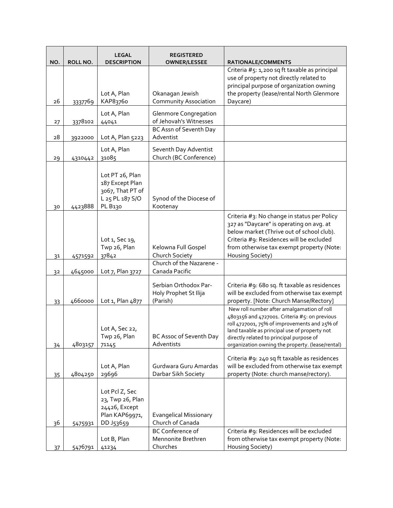| NO. | ROLL NO. | <b>LEGAL</b><br><b>DESCRIPTION</b>                                                   | <b>REGISTERED</b><br><b>OWNER/LESSEE</b>                   | RATIONALE/COMMENTS                                                                                                                                                                                                                                                                           |
|-----|----------|--------------------------------------------------------------------------------------|------------------------------------------------------------|----------------------------------------------------------------------------------------------------------------------------------------------------------------------------------------------------------------------------------------------------------------------------------------------|
|     |          | Lot A, Plan                                                                          | Okanagan Jewish                                            | Criteria #5: 1,200 sq ft taxable as principal<br>use of property not directly related to<br>principal purpose of organization owning<br>the property (lease/rental North Glenmore                                                                                                            |
| 26  | 3337769  | KAP83760                                                                             | <b>Community Association</b>                               | Daycare)                                                                                                                                                                                                                                                                                     |
| 27  | 3378102  | Lot A, Plan<br>44041                                                                 | <b>Glenmore Congregation</b><br>of Jehovah's Witnesses     |                                                                                                                                                                                                                                                                                              |
| 28  | 3922000  | Lot A, Plan 5223                                                                     | BC Assn of Seventh Day<br>Adventist                        |                                                                                                                                                                                                                                                                                              |
| 29  | 4310442  | Lot A, Plan<br>31085                                                                 | Seventh Day Adventist<br>Church (BC Conference)            |                                                                                                                                                                                                                                                                                              |
| 30  | 4423888  | Lot PT 26, Plan<br>187 Except Plan<br>3067, That PT of<br>L 25 PL 187 S/O<br>PL B130 | Synod of the Diocese of<br>Kootenay                        |                                                                                                                                                                                                                                                                                              |
|     |          | Lot 1, Sec 19,<br>Twp 26, Plan<br>37842                                              | Kelowna Full Gospel<br>Church Society                      | Criteria #3: No change in status per Policy<br>327 as "Daycare" is operating on avg. at<br>below market (Thrive out of school club).<br>Criteria #9: Residences will be excluded<br>from otherwise tax exempt property (Note:<br>Housing Society)                                            |
| 31  | 4571592  |                                                                                      | Church of the Nazarene -                                   |                                                                                                                                                                                                                                                                                              |
| 32  | 4645000  | Lot 7, Plan 3727                                                                     | Canada Pacific                                             |                                                                                                                                                                                                                                                                                              |
| 33  | 4660000  | Lot 1, Plan 4877                                                                     | Serbian Orthodox Par-<br>Holy Prophet St Ilija<br>(Parish) | Criteria #9: 680 sq. ft taxable as residences<br>will be excluded from otherwise tax exempt<br>property. [Note: Church Manse/Rectory]                                                                                                                                                        |
| 34  | 4803157  | Lot A, Sec 22,<br>Twp 26, Plan<br>71145                                              | <b>BC Assoc of Seventh Day</b><br>Adventists               | New roll number after amalgamation of roll<br>4803156 and 4727001. Criteria #5: on previous<br>roll 4727001, 75% of improvements and 25% of<br>land taxable as principal use of property not<br>directly related to principal purpose of<br>organization owning the property. (lease/rental) |
| 35  | 4804250  | Lot A, Plan<br>29696                                                                 | Gurdwara Guru Amardas<br>Darbar Sikh Society               | Criteria #9: 240 sq ft taxable as residences<br>will be excluded from otherwise tax exempt<br>property (Note: church manse/rectory).                                                                                                                                                         |
| 36  | 5475931  | Lot Pcl Z, Sec<br>23, Twp 26, Plan<br>24426, Except<br>Plan KAP69971,<br>DD J53659   | <b>Evangelical Missionary</b><br>Church of Canada          |                                                                                                                                                                                                                                                                                              |
|     |          |                                                                                      | <b>BC Conference of</b>                                    | Criteria #9: Residences will be excluded                                                                                                                                                                                                                                                     |
| 37  | 5476791  | Lot B, Plan<br>41234                                                                 | Mennonite Brethren<br>Churches                             | from otherwise tax exempt property (Note:<br>Housing Society)                                                                                                                                                                                                                                |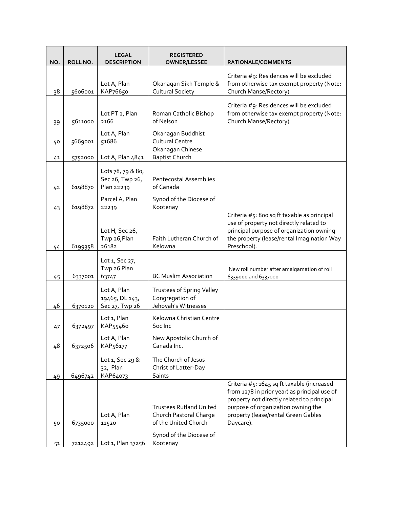| NO. | ROLL NO. | <b>LEGAL</b><br><b>DESCRIPTION</b>                 | <b>REGISTERED</b><br><b>OWNER/LESSEE</b>                                         | <b>RATIONALE/COMMENTS</b>                                                                                                                                                                                                          |
|-----|----------|----------------------------------------------------|----------------------------------------------------------------------------------|------------------------------------------------------------------------------------------------------------------------------------------------------------------------------------------------------------------------------------|
| 38  | 5606001  | Lot A, Plan<br>KAP76650                            | Okanagan Sikh Temple &<br><b>Cultural Society</b>                                | Criteria #9: Residences will be excluded<br>from otherwise tax exempt property (Note:<br>Church Manse/Rectory)                                                                                                                     |
| 39  | 5611000  | Lot PT 2, Plan<br>2166                             | Roman Catholic Bishop<br>of Nelson                                               | Criteria #9: Residences will be excluded<br>from otherwise tax exempt property (Note:<br>Church Manse/Rectory)                                                                                                                     |
| 40  | 5669001  | Lot A, Plan<br>51686                               | Okanagan Buddhist<br><b>Cultural Centre</b>                                      |                                                                                                                                                                                                                                    |
| 41  | 5752000  | Lot A, Plan 4841                                   | Okanagan Chinese<br><b>Baptist Church</b>                                        |                                                                                                                                                                                                                                    |
| 42  | 6198870  | Lots 78, 79 & 80,<br>Sec 26, Twp 26,<br>Plan 22239 | <b>Pentecostal Assemblies</b><br>of Canada                                       |                                                                                                                                                                                                                                    |
| 43  | 6198872  | Parcel A, Plan<br>22239                            | Synod of the Diocese of<br>Kootenay                                              |                                                                                                                                                                                                                                    |
| 44  | 6199358  | Lot H, Sec 26,<br>Twp 26, Plan<br>26182            | Faith Lutheran Church of<br>Kelowna                                              | Criteria #5: 800 sq ft taxable as principal<br>use of property not directly related to<br>principal purpose of organization owning<br>the property (lease/rental Imagination Way<br>Preschool).                                    |
| 45  | 6337001  | Lot 1, Sec 27,<br>Twp 26 Plan<br>63747             | <b>BC Muslim Association</b>                                                     | New roll number after amalgamation of roll<br>6339000 and 6337000                                                                                                                                                                  |
| 46  | 6370120  | Lot A, Plan<br>19465, DL 143,<br>Sec 27, Twp 26    | <b>Trustees of Spring Valley</b><br>Congregation of<br>Jehovah's Witnesses       |                                                                                                                                                                                                                                    |
| 47  | 6372497  | Lot 1, Plan<br>KAP55460                            | Kelowna Christian Centre<br>Soc Inc                                              |                                                                                                                                                                                                                                    |
| 48  | 6372506  | Lot A, Plan<br>KAP56177                            | New Apostolic Church of<br>Canada Inc.                                           |                                                                                                                                                                                                                                    |
| 49  | 6496742  | Lot 1, Sec 29 &<br>32, Plan<br>KAP64073            | The Church of Jesus<br>Christ of Latter-Day<br>Saints                            |                                                                                                                                                                                                                                    |
| 50  | 6735000  | Lot A, Plan<br>11520                               | <b>Trustees Rutland United</b><br>Church Pastoral Charge<br>of the United Church | Criteria #5: 1645 sq ft taxable (increased<br>from 1278 in prior year) as principal use of<br>property not directly related to principal<br>purpose of organization owning the<br>property (lease/rental Green Gables<br>Daycare). |
| 51  | 7212492  | Lot 1, Plan 37256                                  | Synod of the Diocese of<br>Kootenay                                              |                                                                                                                                                                                                                                    |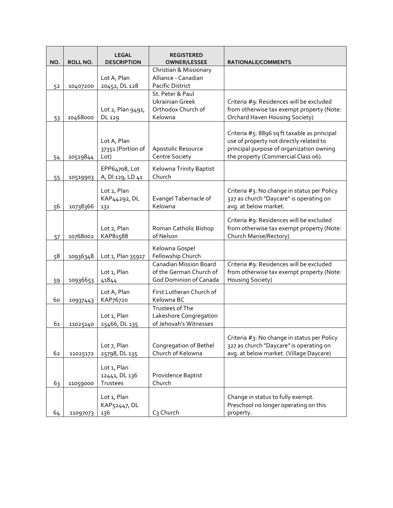| NO. | ROLL NO. | <b>LEGAL</b><br><b>DESCRIPTION</b>       | <b>REGISTERED</b><br><b>OWNER/LESSEE</b>                                           | RATIONALE/COMMENTS                                                                                                                                                         |
|-----|----------|------------------------------------------|------------------------------------------------------------------------------------|----------------------------------------------------------------------------------------------------------------------------------------------------------------------------|
| 52  | 10407200 | Lot A, Plan<br>20452, DL 128             | Christian & Missionary<br>Alliance - Canadian<br>Pacific District                  |                                                                                                                                                                            |
| 53  | 10468000 | Lot 2, Plan 9491,<br>DL 129              | St. Peter & Paul<br><b>Ukrainian Greek</b><br>Orthodox Church of<br>Kelowna        | Criteria #9: Residences will be excluded<br>from otherwise tax exempt property (Note:<br>Orchard Haven Housing Society)                                                    |
| 54  | 10519844 | Lot A, Plan<br>37351 (Portion of<br>Lot) | Apostolic Resource<br>Centre Society                                               | Criteria #5: 8896 sq ft taxable as principal<br>use of property not directly related to<br>principal purpose of organization owning<br>the property (Commercial Class o6). |
| 55  | 10519903 | EPP64708, Lot<br>A, DI 129, LD 41        | Kelowna Trinity Baptist<br>Church                                                  |                                                                                                                                                                            |
| 56  | 10738366 | Lot 2, Plan<br>KAP44292, DL<br>131       | Evangel Tabernacle of<br>Kelowna                                                   | Criteria #3: No change in status per Policy<br>327 as church "Daycare" is operating on<br>avg. at below market.                                                            |
| 57  | 10768002 | Lot 2, Plan<br>KAP81588                  | Roman Catholic Bishop<br>of Nelson                                                 | Criteria #9: Residences will be excluded<br>from otherwise tax exempt property (Note:<br>Church Manse/Rectory)                                                             |
| 58  | 10936348 | Lot 1, Plan 35917                        | Kelowna Gospel<br>Fellowship Church                                                |                                                                                                                                                                            |
| 59  | 10936653 | Lot 1, Plan<br>41844                     | <b>Canadian Mission Board</b><br>of the German Church of<br>God Dominion of Canada | Criteria #9: Residences will be excluded<br>from otherwise tax exempt property (Note:<br>Housing Society)                                                                  |
| 60  | 10937443 | Lot A, Plan<br>KAP76720                  | First Lutheran Church of<br>Kelowna BC                                             |                                                                                                                                                                            |
| 61  | 11025140 | Lot 1, Plan<br>25466, DL 135             | Trustees of The<br>Lakeshore Congregation<br>of Jehovah's Witnesses                |                                                                                                                                                                            |
| 62  | 11025172 | Lot 7, Plan<br>25798, DL 135             | Congregation of Bethel<br>Church of Kelowna                                        | Criteria #3: No change in status per Policy<br>327 as church "Daycare" is operating on<br>avg. at below market. (Village Daycare)                                          |
| 63  | 11059000 | Lot 1, Plan<br>12441, DL 136<br>Trustees | Providence Baptist<br>Church                                                       |                                                                                                                                                                            |
| 64  | 11097073 | Lot 1, Plan<br>KAP52447, DL<br>136       | C <sub>3</sub> Church                                                              | Change in status to fully exempt.<br>Preschool no longer operating on this<br>property.                                                                                    |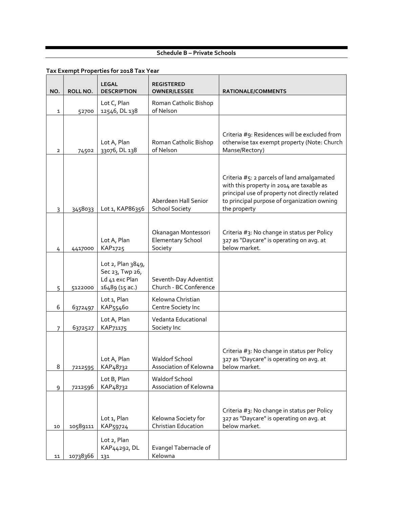#### **Schedule B – Private Schools**

| NO. | ROLL NO. | <b>LEGAL</b><br><b>DESCRIPTION</b>                                       | <b>REGISTERED</b><br><b>OWNER/LESSEE</b>                   | RATIONALE/COMMENTS                                                                                                                                                                                       |
|-----|----------|--------------------------------------------------------------------------|------------------------------------------------------------|----------------------------------------------------------------------------------------------------------------------------------------------------------------------------------------------------------|
| 1   | 52700    | Lot C, Plan<br>12546, DL 138                                             | Roman Catholic Bishop<br>of Nelson                         |                                                                                                                                                                                                          |
| 2   | 74502    | Lot A, Plan<br>33076, DL 138                                             | Roman Catholic Bishop<br>of Nelson                         | Criteria #9: Residences will be excluded from<br>otherwise tax exempt property (Note: Church<br>Manse/Rectory)                                                                                           |
| 3   | 3458033  | Lot 1, KAP86356                                                          | Aberdeen Hall Senior<br><b>School Society</b>              | Criteria #5: 2 parcels of land amalgamated<br>with this property in 2014 are taxable as<br>principal use of property not directly related<br>to principal purpose of organization owning<br>the property |
| 4   | 4417000  | Lot A, Plan<br>KAP1725                                                   | Okanagan Montessori<br><b>Elementary School</b><br>Society | Criteria #3: No change in status per Policy<br>327 as "Daycare" is operating on avq. at<br>below market.                                                                                                 |
| 5   | 5122000  | Lot 2, Plan 3849,<br>Sec 23, Twp 26,<br>Ld 41 exc Plan<br>16489 (15 ac.) | Seventh-Day Adventist<br>Church - BC Conference            |                                                                                                                                                                                                          |
| 6   | 6372497  | Lot 1, Plan<br>KAP55460                                                  | Kelowna Christian<br>Centre Society Inc                    |                                                                                                                                                                                                          |
| 7   | 6372527  | Lot A, Plan<br>KAP71175                                                  | Vedanta Educational<br>Society Inc                         |                                                                                                                                                                                                          |
| 8   | 7212595  | Lot A, Plan<br>KAP48732                                                  | <b>Waldorf School</b><br>Association of Kelowna            | Criteria #3: No change in status per Policy<br>327 as "Daycare" is operating on avg. at<br>below market.                                                                                                 |
| 9   | 7212596  | Lot B, Plan<br>KAP48732                                                  | <b>Waldorf School</b><br>Association of Kelowna            |                                                                                                                                                                                                          |
| 10  | 10589111 | Lot 1, Plan<br>KAP59724                                                  | Kelowna Society for<br>Christian Education                 | Criteria #3: No change in status per Policy<br>327 as "Daycare" is operating on avg. at<br>below market.                                                                                                 |
| 11  | 10738366 | Lot 2, Plan<br>KAP44292, DL<br>131                                       | Evangel Tabernacle of<br>Kelowna                           |                                                                                                                                                                                                          |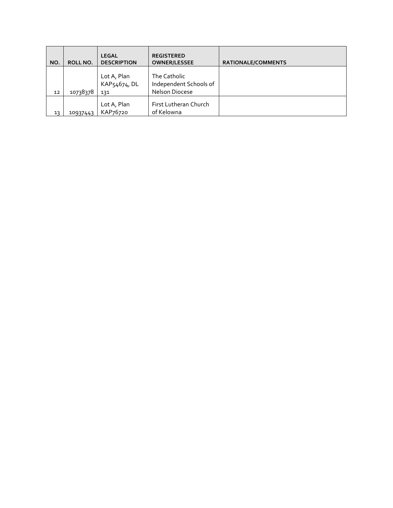| NO. | ROLL NO. | <b>LEGAL</b><br><b>DESCRIPTION</b> | <b>REGISTERED</b><br><b>OWNER/LESSEE</b>                 | <b>RATIONALE/COMMENTS</b> |
|-----|----------|------------------------------------|----------------------------------------------------------|---------------------------|
|     |          |                                    |                                                          |                           |
| 12  | 10738378 | Lot A, Plan<br>KAP54674, DL<br>131 | The Catholic<br>Independent Schools of<br>Nelson Diocese |                           |
| 13  | 10937443 | Lot A, Plan<br>KAP76720            | First Lutheran Church<br>of Kelowna                      |                           |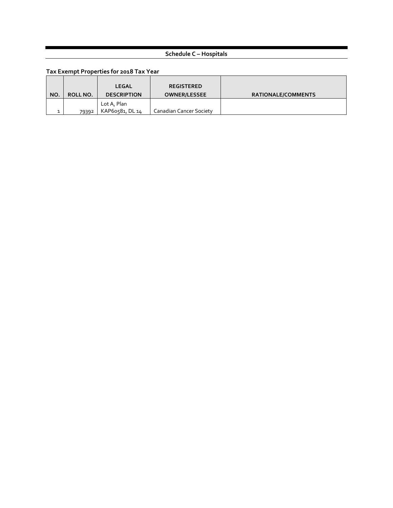# **Schedule C – Hospitals**

| NO. | ROLL NO. | <b>LEGAL</b><br><b>DESCRIPTION</b> | <b>REGISTERED</b><br><b>OWNER/LESSEE</b> | <b>RATIONALE/COMMENTS</b> |
|-----|----------|------------------------------------|------------------------------------------|---------------------------|
|     | 79392    | Lot A, Plan<br>KAP60581, DL 14     | Canadian Cancer Society                  |                           |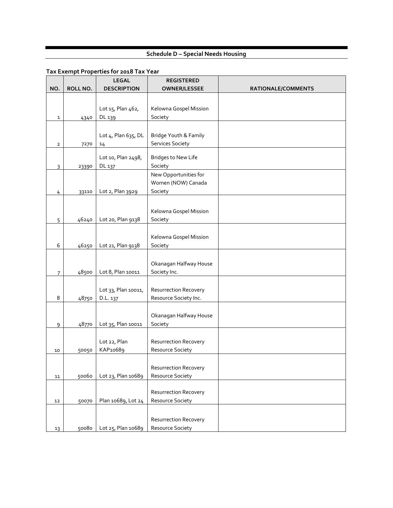# **Schedule D – Special Needs Housing**

|                |          | <b>LEGAL</b>                 | <b>REGISTERED</b>                     |                    |
|----------------|----------|------------------------------|---------------------------------------|--------------------|
| NO.            | ROLL NO. | <b>DESCRIPTION</b>           | <b>OWNER/LESSEE</b>                   | RATIONALE/COMMENTS |
|                |          |                              |                                       |                    |
|                |          | Lot 15, Plan 462,            | Kelowna Gospel Mission                |                    |
| $\mathbf{1}$   | 4340     | DL 139                       | Society                               |                    |
|                |          |                              |                                       |                    |
|                |          | Lot 4, Plan 635, DL          | Bridge Youth & Family                 |                    |
| $\overline{2}$ | 7270     | 14                           | <b>Services Society</b>               |                    |
|                |          |                              |                                       |                    |
|                |          | Lot 10, Plan 2498,<br>DL 137 | <b>Bridges to New Life</b><br>Society |                    |
| 3              | 23390    |                              | New Opportunities for                 |                    |
|                |          |                              | Women (NOW) Canada                    |                    |
| 4              | 33110    | Lot 2, Plan 3929             | Society                               |                    |
|                |          |                              |                                       |                    |
|                |          |                              | Kelowna Gospel Mission                |                    |
| 5              | 46240    | Lot 20, Plan 9138            | Society                               |                    |
|                |          |                              |                                       |                    |
|                |          |                              | Kelowna Gospel Mission                |                    |
| 6              | 46250    | Lot 21, Plan 9138            | Society                               |                    |
|                |          |                              |                                       |                    |
|                |          |                              | Okanagan Halfway House                |                    |
| $\overline{7}$ | 48500    | Lot 8, Plan 10011            | Society Inc.                          |                    |
|                |          |                              |                                       |                    |
|                |          | Lot 33, Plan 10011,          | <b>Resurrection Recovery</b>          |                    |
| 8              | 48750    | D.L. 137                     | Resource Society Inc.                 |                    |
|                |          |                              |                                       |                    |
|                |          |                              | Okanagan Halfway House                |                    |
| $\overline{9}$ | 48770    | Lot 35, Plan 10011           | Society                               |                    |
|                |          |                              |                                       |                    |
|                |          | Lot 22, Plan                 | <b>Resurrection Recovery</b>          |                    |
| 10             | 50050    | KAP10689                     | Resource Society                      |                    |
|                |          |                              | <b>Resurrection Recovery</b>          |                    |
| 11             | 50060    | Lot 23, Plan 10689           | Resource Society                      |                    |
|                |          |                              |                                       |                    |
|                |          |                              | <b>Resurrection Recovery</b>          |                    |
| 12             | 50070    | Plan 10689, Lot 24           | Resource Society                      |                    |
|                |          |                              |                                       |                    |
|                |          |                              | <b>Resurrection Recovery</b>          |                    |
| 13             | 50080    | Lot 25, Plan 10689           | Resource Society                      |                    |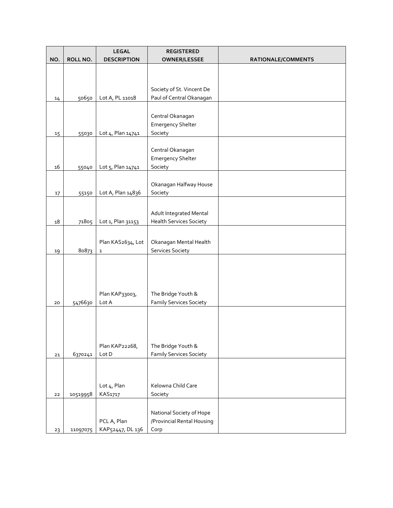|        |          | <b>LEGAL</b>            | <b>REGISTERED</b>                                    |                    |
|--------|----------|-------------------------|------------------------------------------------------|--------------------|
| NO.    | ROLL NO. | <b>DESCRIPTION</b>      | <b>OWNER/LESSEE</b>                                  | RATIONALE/COMMENTS |
|        |          |                         |                                                      |                    |
|        |          |                         |                                                      |                    |
|        |          |                         | Society of St. Vincent De                            |                    |
| 14     | 50650    | Lot A, PL 11018         | Paul of Central Okanagan                             |                    |
|        |          |                         |                                                      |                    |
|        |          |                         | Central Okanagan                                     |                    |
|        |          |                         | <b>Emergency Shelter</b>                             |                    |
| 15     | 55030    | Lot 4, Plan 14741       | Society                                              |                    |
|        |          |                         |                                                      |                    |
|        |          |                         | Central Okanagan                                     |                    |
|        |          |                         | <b>Emergency Shelter</b>                             |                    |
| 16     | 55040    | Lot 5, Plan 14741       | Society                                              |                    |
|        |          |                         |                                                      |                    |
|        |          |                         | Okanagan Halfway House                               |                    |
| 17     | 55150    | Lot A, Plan 14836       | Society                                              |                    |
|        |          |                         |                                                      |                    |
|        |          |                         | Adult Integrated Mental                              |                    |
| $18\,$ | 71805    | Lot 1, Plan 31153       | <b>Health Services Society</b>                       |                    |
|        |          |                         |                                                      |                    |
|        |          |                         |                                                      |                    |
|        |          | Plan KAS2634, Lot       | Okanagan Mental Health                               |                    |
| 19     | 80873    | ${\bf 1}$               | Services Society                                     |                    |
|        |          |                         |                                                      |                    |
|        |          |                         |                                                      |                    |
|        |          |                         |                                                      |                    |
|        |          |                         |                                                      |                    |
|        |          | Plan KAP33003,<br>Lot A | The Bridge Youth &<br><b>Family Services Society</b> |                    |
| 20     | 5476630  |                         |                                                      |                    |
|        |          |                         |                                                      |                    |
|        |          |                         |                                                      |                    |
|        |          |                         |                                                      |                    |
|        |          | Plan KAP22268,          | The Bridge Youth &                                   |                    |
| 21     | 6370241  | Lot D                   | <b>Family Services Society</b>                       |                    |
|        |          |                         |                                                      |                    |
|        |          |                         |                                                      |                    |
|        |          |                         |                                                      |                    |
|        |          | Lot 4, Plan             | Kelowna Child Care                                   |                    |
| 22     | 10519958 | KAS1717                 | Society                                              |                    |
|        |          |                         |                                                      |                    |
|        |          |                         | National Society of Hope                             |                    |
|        |          | PCL A, Plan             | /Provincial Rental Housing                           |                    |
| 23     | 11097075 | KAP52447, DL 136        | Corp                                                 |                    |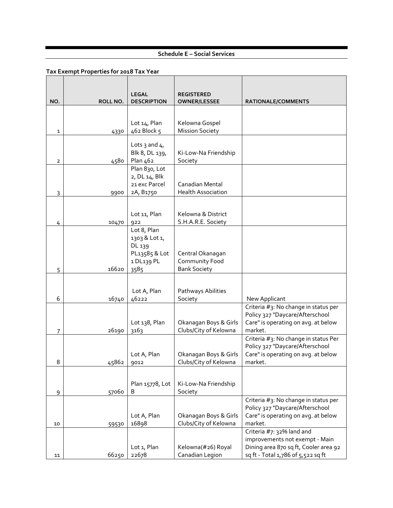# **Schedule E – Social Services**

|                |          | <b>LEGAL</b>                                                                  | <b>REGISTERED</b>                                         |                                                                                                                                            |
|----------------|----------|-------------------------------------------------------------------------------|-----------------------------------------------------------|--------------------------------------------------------------------------------------------------------------------------------------------|
| NO.            | ROLL NO. | <b>DESCRIPTION</b>                                                            | <b>OWNER/LESSEE</b>                                       | RATIONALE/COMMENTS                                                                                                                         |
| 1              | 4330     | Lot 14, Plan<br>462 Block 5                                                   | Kelowna Gospel<br><b>Mission Society</b>                  |                                                                                                                                            |
| $\overline{2}$ | 4580     | Lots 3 and $41$<br>Blk 8, DL 139,<br>Plan 462                                 | Ki-Low-Na Friendship<br>Society                           |                                                                                                                                            |
| 3              | 9900     | Plan 830, Lot<br>2, DL 14, Blk<br>21 exc Parcel<br>2A, B1750                  | Canadian Mental<br><b>Health Association</b>              |                                                                                                                                            |
| 4              | 10470    | Lot 11, Plan<br>922                                                           | Kelowna & District<br>S.H.A.R.E. Society                  |                                                                                                                                            |
| 5              | 16620    | Lot 8, Plan<br>1303 & Lot 1,<br>DL 139<br>PL13585 & Lot<br>1 DL139 PL<br>3585 | Central Okanagan<br>Community Food<br><b>Bank Society</b> |                                                                                                                                            |
| 6              | 16740    | Lot A, Plan<br>46222                                                          | Pathways Abilities<br>Society                             | New Applicant                                                                                                                              |
| 7              | 26190    | Lot 138, Plan<br>3163                                                         | Okanagan Boys & Girls<br>Clubs/City of Kelowna            | Criteria #3: No change in status per<br>Policy 327 "Daycare/Afterschool<br>Care" is operating on avg. at below<br>market.                  |
| 8              | 45862    | Lot A, Plan<br>9012                                                           | Okanagan Boys & Girls<br>Clubs/City of Kelowna            | Criteria #3: No change in status Per<br>Policy 327 "Daycare/Afterschool<br>Care" is operating on avg. at below<br>market.                  |
| 9              | 57060    | Plan 15778, Lot<br>B                                                          | Ki-Low-Na Friendship<br>Society                           |                                                                                                                                            |
| 10             | 59530    | Lot A, Plan<br>16898                                                          | Okanagan Boys & Girls<br>Clubs/City of Kelowna            | Criteria #3: No change in status per<br>Policy 327 "Daycare/Afterschool<br>Care" is operating on avg. at below<br>market.                  |
| 11             | 66250    | Lot 1, Plan<br>22678                                                          | Kelowna(#26) Royal<br>Canadian Legion                     | Criteria #7: 32% land and<br>improvements not exempt - Main<br>Dining area 870 sq ft, Cooler area 92<br>sq ft - Total 1,786 of 5,522 sq ft |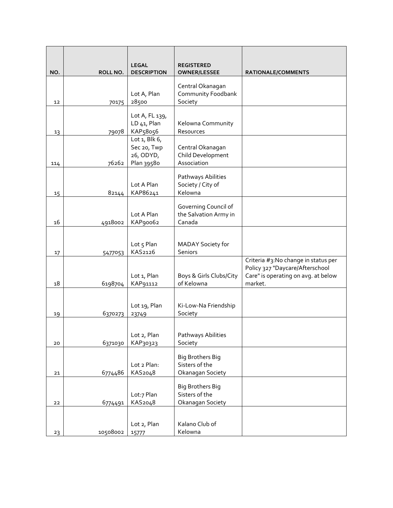| NO. | ROLL NO. | <b>LEGAL</b><br><b>DESCRIPTION</b>                          | REGISTERED<br><b>OWNER/LESSEE</b>                             | RATIONALE/COMMENTS                                                                                                       |
|-----|----------|-------------------------------------------------------------|---------------------------------------------------------------|--------------------------------------------------------------------------------------------------------------------------|
| 12  | 70175    | Lot A, Plan<br>28500                                        | Central Okanagan<br>Community Foodbank<br>Society             |                                                                                                                          |
| 13  | 79078    | Lot A, FL 139,<br>LD 41, Plan<br>KAP58056                   | Kelowna Community<br>Resources                                |                                                                                                                          |
| 114 | 76262    | Lot $1,$ Blk $6,$<br>Sec 20, Twp<br>26, ODYD,<br>Plan 39580 | Central Okanagan<br>Child Development<br>Association          |                                                                                                                          |
| 15  | 82144    | Lot A Plan<br>KAP86241                                      | Pathways Abilities<br>Society / City of<br>Kelowna            |                                                                                                                          |
| 16  | 4918002  | Lot A Plan<br>KAP90062                                      | Governing Council of<br>the Salvation Army in<br>Canada       |                                                                                                                          |
| 17  | 5477053  | Lot 5 Plan<br>KAS2126                                       | MADAY Society for<br>Seniors                                  |                                                                                                                          |
| 18  | 6198704  | Lot 1, Plan<br>KAP91112                                     | Boys & Girls Clubs/City<br>of Kelowna                         | Criteria #3:No change in status per<br>Policy 327 "Daycare/Afterschool<br>Care" is operating on avg. at below<br>market. |
| 19  | 6370273  | Lot 19, Plan<br>23749                                       | Ki-Low-Na Friendship<br>Society                               |                                                                                                                          |
| 20  | 6371030  | Lot 2, Plan<br>KAP30323                                     | Pathways Abilities<br>Society                                 |                                                                                                                          |
| 21  | 6774486  | Lot 2 Plan:<br>KAS2048                                      | <b>Big Brothers Big</b><br>Sisters of the<br>Okanagan Society |                                                                                                                          |
| 22  | 6774491  | Lot:7 Plan<br>KAS2048                                       | <b>Big Brothers Big</b><br>Sisters of the<br>Okanagan Society |                                                                                                                          |
| 23  | 10508002 | Lot 2, Plan<br>15777                                        | Kalano Club of<br>Kelowna                                     |                                                                                                                          |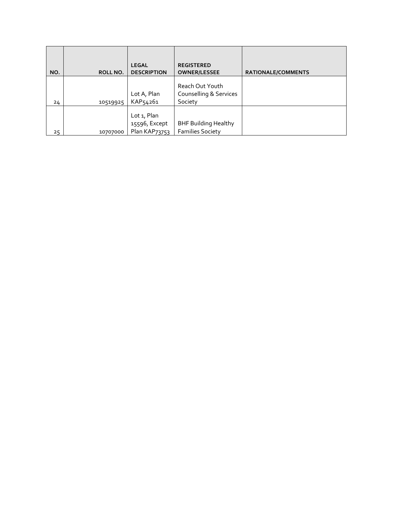| NO. | ROLL NO. | <b>LEGAL</b><br><b>DESCRIPTION</b>                   | <b>REGISTERED</b><br><b>OWNER/LESSEE</b>               | <b>RATIONALE/COMMENTS</b> |
|-----|----------|------------------------------------------------------|--------------------------------------------------------|---------------------------|
| 24  | 10519925 | Lot A, Plan<br>KAP54261                              | Reach Out Youth<br>Counselling & Services<br>Society   |                           |
| 25  | 10707000 | Lot 1, Plan<br>15596, Except<br><b>Plan KAP73753</b> | <b>BHF Building Healthy</b><br><b>Families Society</b> |                           |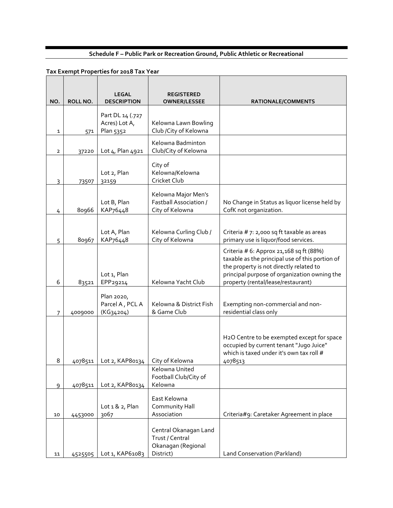# **Schedule F – Public Park or Recreation Ground, Public Athletic or Recreational**

| NO.            | ROLL NO. | <b>LEGAL</b><br><b>DESCRIPTION</b>             | REGISTERED<br><b>OWNER/LESSEE</b>                                           | RATIONALE/COMMENTS                                                                                                                                                                                                           |
|----------------|----------|------------------------------------------------|-----------------------------------------------------------------------------|------------------------------------------------------------------------------------------------------------------------------------------------------------------------------------------------------------------------------|
| 1              | 571      | Part DL 14 (.727<br>Acres) Lot A,<br>Plan 5352 | Kelowna Lawn Bowling<br>Club / City of Kelowna                              |                                                                                                                                                                                                                              |
| $\overline{2}$ | 37220    | Lot 4, Plan 4921                               | Kelowna Badminton<br>Club/City of Kelowna                                   |                                                                                                                                                                                                                              |
| 3              | 73507    | Lot 2, Plan<br>32159                           | City of<br>Kelowna/Kelowna<br>Cricket Club                                  |                                                                                                                                                                                                                              |
| 4              | 80966    | Lot B, Plan<br>KAP76448                        | Kelowna Major Men's<br><b>Fastball Association /</b><br>City of Kelowna     | No Change in Status as liquor license held by<br>CofK not organization.                                                                                                                                                      |
| 5              | 80967    | Lot A, Plan<br>KAP76448                        | Kelowna Curling Club /<br>City of Kelowna                                   | Criteria # 7: 2,000 sq ft taxable as areas<br>primary use is liquor/food services.                                                                                                                                           |
| 6              | 83521    | Lot 1, Plan<br>EPP29214                        | Kelowna Yacht Club                                                          | Criteria # 6: Approx 21, 168 sq ft (88%)<br>taxable as the principal use of this portion of<br>the property is not directly related to<br>principal purpose of organization owning the<br>property (rental/lease/restaurant) |
| 7              | 4009000  | Plan 2020,<br>Parcel A, PCL A<br>(KG34204)     | Kelowna & District Fish<br>& Game Club                                      | Exempting non-commercial and non-<br>residential class only                                                                                                                                                                  |
| 8              | 4078511  | Lot 2, KAP80134                                | City of Kelowna                                                             | H2O Centre to be exempted except for space<br>occupied by current tenant "Jugo Juice"<br>which is taxed under it's own tax roll #<br>4078513                                                                                 |
| 9              | 4078511  | Lot 2, KAP80134                                | Kelowna United<br>Football Club/City of<br>Kelowna                          |                                                                                                                                                                                                                              |
| 10             | 4453000  | Lot $1 & 2$ , Plan<br>3067                     | East Kelowna<br>Community Hall<br>Association                               | Criteria#9: Caretaker Agreement in place                                                                                                                                                                                     |
| 11             | 4525505  | Lot 1, KAP61083                                | Central Okanagan Land<br>Trust / Central<br>Okanagan (Regional<br>District) | Land Conservation (Parkland)                                                                                                                                                                                                 |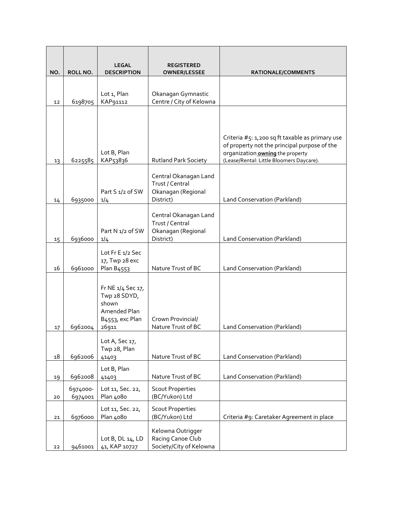| NO. | ROLL NO. | <b>LEGAL</b><br><b>DESCRIPTION</b> | <b>REGISTERED</b><br><b>OWNER/LESSEE</b>     | RATIONALE/COMMENTS                              |
|-----|----------|------------------------------------|----------------------------------------------|-------------------------------------------------|
|     |          |                                    |                                              |                                                 |
|     |          | Lot 1, Plan                        | Okanagan Gymnastic                           |                                                 |
| 12  | 6198705  | KAP91112                           | Centre / City of Kelowna                     |                                                 |
|     |          |                                    |                                              |                                                 |
|     |          |                                    |                                              |                                                 |
|     |          |                                    |                                              | Criteria #5: 1,200 sq ft taxable as primary use |
|     |          |                                    |                                              | of property not the principal purpose of the    |
|     |          | Lot B, Plan                        |                                              | organization <b>owning</b> the property         |
| 13  | 6225585  | KAP53836                           | <b>Rutland Park Society</b>                  | (Lease/Rental: Little Bloomers Daycare).        |
|     |          |                                    | Central Okanagan Land                        |                                                 |
|     |          |                                    | Trust / Central                              |                                                 |
| 14  | 6935000  | Part S 1/2 of SW<br>1/4            | Okanagan (Regional<br>District)              | Land Conservation (Parkland)                    |
|     |          |                                    |                                              |                                                 |
|     |          |                                    | Central Okanagan Land                        |                                                 |
|     |          | Part N 1/2 of SW                   | Trust / Central<br>Okanagan (Regional        |                                                 |
| 15  | 6936000  | 1/4                                | District)                                    | Land Conservation (Parkland)                    |
|     |          |                                    |                                              |                                                 |
|     |          | Lot Fr E 1/2 Sec<br>17, Twp 28 exc |                                              |                                                 |
| 16  | 6961000  | Plan B4553                         | Nature Trust of BC                           | Land Conservation (Parkland)                    |
|     |          |                                    |                                              |                                                 |
|     |          | Fr NE 1/4 Sec 17,                  |                                              |                                                 |
|     |          | Twp 28 SDYD,                       |                                              |                                                 |
|     |          | shown<br>Amended Plan              |                                              |                                                 |
|     |          | B <sub>4553</sub> , exc Plan       | Crown Provincial/                            |                                                 |
| 17  | 6962004  | 26911                              | Nature Trust of BC                           | Land Conservation (Parkland)                    |
|     |          | Lot A, Sec 17,                     |                                              |                                                 |
|     |          | Twp 28, Plan                       |                                              |                                                 |
| 18  | 6962006  | 41403                              | Nature Trust of BC                           | Land Conservation (Parkland)                    |
|     |          | Lot B, Plan                        |                                              |                                                 |
| 19  | 6962008  | 41403                              | Nature Trust of BC                           | Land Conservation (Parkland)                    |
|     | 6974000- | Lot 11, Sec. 22,                   | <b>Scout Properties</b>                      |                                                 |
| 20  | 6974001  | Plan 4080                          | (BC/Yukon) Ltd                               |                                                 |
|     |          | Lot 11, Sec. 22,                   | <b>Scout Properties</b>                      |                                                 |
| 21  | 6976000  | Plan 4080                          | (BC/Yukon) Ltd                               | Criteria #9: Caretaker Agreement in place       |
|     |          |                                    | Kelowna Outrigger                            |                                                 |
| 22  | 9461001  | Lot B, DL 14, LD<br>41, KAP 10727  | Racing Canoe Club<br>Society/City of Kelowna |                                                 |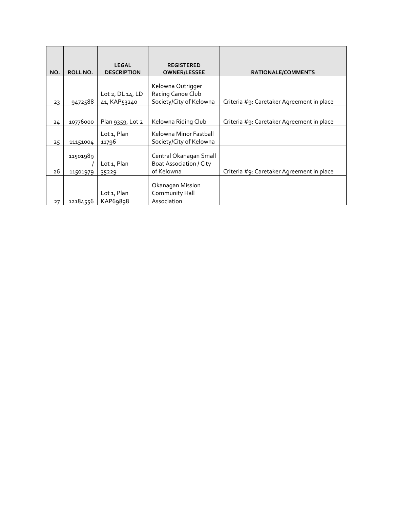|     |                 | <b>LEGAL</b>       | <b>REGISTERED</b>              |                                           |
|-----|-----------------|--------------------|--------------------------------|-------------------------------------------|
| NO. | <b>ROLL NO.</b> | <b>DESCRIPTION</b> | <b>OWNER/LESSEE</b>            | <b>RATIONALE/COMMENTS</b>                 |
|     |                 |                    |                                |                                           |
|     |                 |                    | Kelowna Outrigger              |                                           |
|     |                 | Lot 2, DL 14, LD   | Racing Canoe Club              |                                           |
| 23  | 9472588         | 41, KAP53240       | Society/City of Kelowna        | Criteria #9: Caretaker Agreement in place |
|     |                 |                    |                                |                                           |
| 24  | 10776000        | Plan 9359, Lot 2   | Kelowna Riding Club            | Criteria #9: Caretaker Agreement in place |
|     |                 |                    |                                |                                           |
|     |                 | Lot 1, Plan        | Kelowna Minor Fastball         |                                           |
| 25  | 11151004        | 11796              | Society/City of Kelowna        |                                           |
|     |                 |                    |                                |                                           |
|     | 11501989        |                    | Central Okanagan Small         |                                           |
|     |                 | Lot 1, Plan        | <b>Boat Association / City</b> |                                           |
| 26  | 11501979        | 35229              | of Kelowna                     | Criteria #9: Caretaker Agreement in place |
|     |                 |                    |                                |                                           |
|     |                 |                    | Okanagan Mission               |                                           |
|     |                 | Lot 1, Plan        | Community Hall                 |                                           |
| 27  | 12184556        | KAP69898           | Association                    |                                           |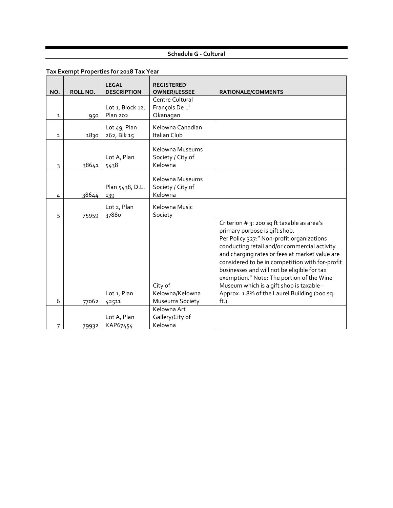### **Schedule G - Cultural**

| NO.            | ROLL NO. | <b>LEGAL</b><br><b>DESCRIPTION</b>  | <b>REGISTERED</b><br><b>OWNER/LESSEE</b>             | <b>RATIONALE/COMMENTS</b>                                                                                                                                                                                                                                                                                                                                                                                                                                                      |
|----------------|----------|-------------------------------------|------------------------------------------------------|--------------------------------------------------------------------------------------------------------------------------------------------------------------------------------------------------------------------------------------------------------------------------------------------------------------------------------------------------------------------------------------------------------------------------------------------------------------------------------|
| $\mathbf{1}$   | 950      | Lot 1, Block 12,<br><b>Plan 202</b> | Centre Cultural<br>François De L'<br>Okanagan        |                                                                                                                                                                                                                                                                                                                                                                                                                                                                                |
| $\overline{2}$ | 1830     | Lot 49, Plan<br>262, Blk 15         | Kelowna Canadian<br>Italian Club                     |                                                                                                                                                                                                                                                                                                                                                                                                                                                                                |
| 3              | 38641    | Lot A, Plan<br>5438                 | Kelowna Museums<br>Society / City of<br>Kelowna      |                                                                                                                                                                                                                                                                                                                                                                                                                                                                                |
| 4              | 38644    | Plan 5438, D.L.<br>139              | Kelowna Museums<br>Society / City of<br>Kelowna      |                                                                                                                                                                                                                                                                                                                                                                                                                                                                                |
| 5              | 75959    | Lot 2, Plan<br>37880                | Kelowna Music<br>Society                             |                                                                                                                                                                                                                                                                                                                                                                                                                                                                                |
| 6              | 77062    | Lot 1, Plan<br>42511                | City of<br>Kelowna/Kelowna<br><b>Museums Society</b> | Criterion # 3: 200 sq ft taxable as area's<br>primary purpose is gift shop.<br>Per Policy 327:" Non-profit organizations<br>conducting retail and/or commercial activity<br>and charging rates or fees at market value are<br>considered to be in competition with for-profit<br>businesses and will not be eligible for tax<br>exemption." Note: The portion of the Wine<br>Museum which is a gift shop is taxable -<br>Approx. 1.8% of the Laurel Building (200 sq.<br>ft.). |
|                |          |                                     | Kelowna Art                                          |                                                                                                                                                                                                                                                                                                                                                                                                                                                                                |
| 7              | 79932    | Lot A, Plan<br>KAP67454             | Gallery/City of<br>Kelowna                           |                                                                                                                                                                                                                                                                                                                                                                                                                                                                                |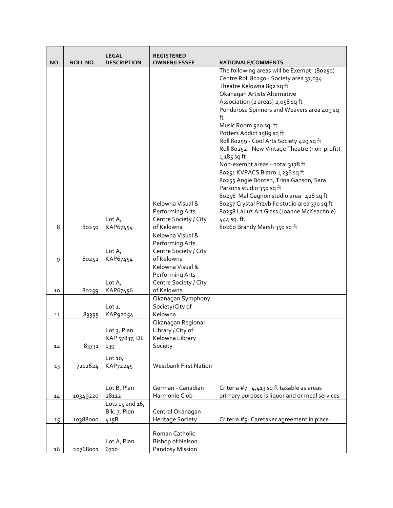|     |          | <b>LEGAL</b>       | <b>REGISTERED</b>            |                                                |
|-----|----------|--------------------|------------------------------|------------------------------------------------|
| NO. | ROLL NO. | <b>DESCRIPTION</b> | <b>OWNER/LESSEE</b>          | RATIONALE/COMMENTS                             |
|     |          |                    |                              | The following areas will be Exempt- (80250)    |
|     |          |                    |                              | Centre Roll 80250 - Society area 37,034        |
|     |          |                    |                              | Theatre Kelowna 892 sq ft                      |
|     |          |                    |                              | Okanagan Artists Alternative                   |
|     |          |                    |                              | Association (2 areas) 2,058 sq ft              |
|     |          |                    |                              | Ponderosa Spinners and Weavers area 409 sq     |
|     |          |                    |                              | ft                                             |
|     |          |                    |                              | Music Room 520 sq. ft.                         |
|     |          |                    |                              | Potters Addict 1589 sq ft                      |
|     |          |                    |                              | Roll 80259 - Cool Arts Society 429 sq ft       |
|     |          |                    |                              | Roll 80252 - New Vintage Theatre (non-profit)  |
|     |          |                    |                              | $1,185$ sq ft                                  |
|     |          |                    |                              | Non-exempt areas - total 3178 ft.              |
|     |          |                    |                              | 80251 KVPACS Bistro 1,236 sqft                 |
|     |          |                    |                              | 80255 Angie Bonten, Trina Ganson, Sara         |
|     |          |                    |                              | Parsons studio 350 sq ft                       |
|     |          |                    |                              | 80256 Mal Gagnon studio area 428 sq ft         |
|     |          |                    | Kelowna Visual &             | 80257 Crystal Przybille studio area 370 sq ft  |
|     |          |                    | Performing Arts              | 80258 LaLuz Art Glass (Joanne McKeachnie)      |
|     |          | Lot $A_{I}$        | Centre Society / City        | 444 sq. ft.                                    |
| 8   | 80250    | KAP67454           | of Kelowna                   | 80260 Brandy Marsh 350 sq ft                   |
|     |          |                    | Kelowna Visual &             |                                                |
|     |          |                    | Performing Arts              |                                                |
|     |          | Lot $A_{I}$        | Centre Society / City        |                                                |
| 9   | 80252    | KAP67454           | of Kelowna                   |                                                |
|     |          |                    | Kelowna Visual &             |                                                |
|     |          |                    | Performing Arts              |                                                |
|     |          | Lot $A_{\iota}$    | Centre Society / City        |                                                |
| 10  | 80259    | KAP67456           | of Kelowna                   |                                                |
|     |          |                    | Okanagan Symphony            |                                                |
|     |          | Lot $1$ ,          | Society/City of              |                                                |
| 11  | 83355    | KAP92254           | Kelowna                      |                                                |
|     |          |                    | Okanagan Regional            |                                                |
|     |          | Lot 3, Plan        | Library / City of            |                                                |
|     |          | KAP 57837, DL      | Kelowna Library              |                                                |
| 12  | 83731    | 139                | Society                      |                                                |
|     |          | Lot $101$          |                              |                                                |
| 13  | 7212624  | KAP72245           | <b>Westbank First Nation</b> |                                                |
|     |          |                    |                              |                                                |
|     |          |                    |                              |                                                |
|     |          | Lot B, Plan        | German - Canadian            | Criteria #7: 4,413 sq ft taxable as areas      |
| 14  | 10349220 | 28112              | Harmonie Club                | primary purpose is liquor and or meal services |
|     |          | Lots 15 and 16,    |                              |                                                |
|     |          | Blk. 7, Plan       | Central Okanagan             |                                                |
| 15  | 10388000 | 415B               | <b>Heritage Society</b>      | Criteria #9: Caretaker agreement in place.     |
|     |          |                    | Roman Catholic               |                                                |
|     |          | Lot A, Plan        | <b>Bishop of Nelson</b>      |                                                |
| 16  | 10768001 | 6710               | Pandosy Mission              |                                                |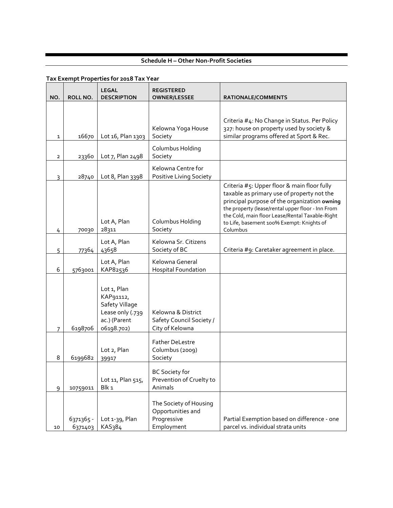# **Schedule H – Other Non-Profit Societies**

| NO.            | ROLL NO.             | <b>LEGAL</b><br><b>DESCRIPTION</b>                                                           | <b>REGISTERED</b><br><b>OWNER/LESSEE</b>                                 | RATIONALE/COMMENTS                                                                                                                                                                                                                                                                                         |
|----------------|----------------------|----------------------------------------------------------------------------------------------|--------------------------------------------------------------------------|------------------------------------------------------------------------------------------------------------------------------------------------------------------------------------------------------------------------------------------------------------------------------------------------------------|
|                |                      |                                                                                              |                                                                          |                                                                                                                                                                                                                                                                                                            |
| $\mathbf{1}$   | 16670                | Lot 16, Plan 1303                                                                            | Kelowna Yoga House<br>Society                                            | Criteria #4: No Change in Status. Per Policy<br>327: house on property used by society &<br>similar programs offered at Sport & Rec.                                                                                                                                                                       |
| $\overline{2}$ | 23360                | Lot 7, Plan 2498                                                                             | Columbus Holding<br>Society                                              |                                                                                                                                                                                                                                                                                                            |
| $\overline{3}$ | 28740                | Lot 8, Plan 3398                                                                             | Kelowna Centre for<br>Positive Living Society                            |                                                                                                                                                                                                                                                                                                            |
| 4              | 70030                | Lot A, Plan<br>28311                                                                         | Columbus Holding<br>Society                                              | Criteria #5: Upper floor & main floor fully<br>taxable as primary use of property not the<br>principal purpose of the organization owning<br>the property (lease/rental upper floor - Inn From<br>the Cold, main floor Lease/Rental Taxable-Right<br>to Life, basement 100% Exempt: Knights of<br>Columbus |
| 5              | 77364                | Lot A, Plan<br>43658                                                                         | Kelowna Sr. Citizens<br>Society of BC                                    | Criteria #9: Caretaker agreement in place.                                                                                                                                                                                                                                                                 |
| 6              | 5763001              | Lot A, Plan<br>KAP82536                                                                      | Kelowna General<br><b>Hospital Foundation</b>                            |                                                                                                                                                                                                                                                                                                            |
| 7              | 6198706              | Lot 1, Plan<br>KAP91112,<br>Safety Village<br>Lease only (.739<br>ac.) (Parent<br>06198.702) | Kelowna & District<br>Safety Council Society /<br>City of Kelowna        |                                                                                                                                                                                                                                                                                                            |
| 8              | 6199682              | Lot 2, Plan<br>39917                                                                         | <b>Father DeLestre</b><br>Columbus (2009)<br>Society                     |                                                                                                                                                                                                                                                                                                            |
| 9              | 10759011             | Lot 11, Plan 515,<br>Blk 1                                                                   | <b>BC Society for</b><br>Prevention of Cruelty to<br>Animals             |                                                                                                                                                                                                                                                                                                            |
| 10             | 6371365 -<br>6371403 | Lot 1-39, Plan<br>KAS384                                                                     | The Society of Housing<br>Opportunities and<br>Progressive<br>Employment | Partial Exemption based on difference - one<br>parcel vs. individual strata units                                                                                                                                                                                                                          |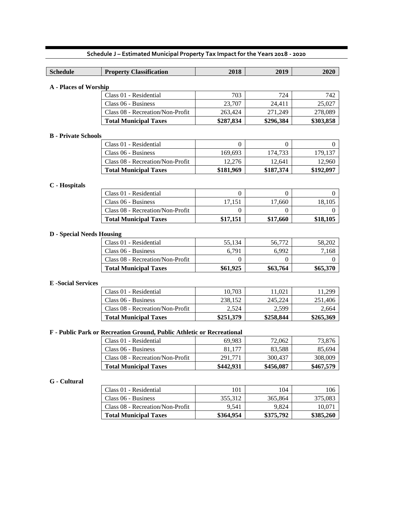| <b>Schedule</b>                  | <b>Property Classification</b>   | 2018      | 2019         | 2020         |
|----------------------------------|----------------------------------|-----------|--------------|--------------|
|                                  |                                  |           |              |              |
| <b>A</b> - Places of Worship     |                                  |           |              |              |
|                                  | Class 01 - Residential           | 703       | 724          | 742          |
|                                  | Class 06 - Business              | 23,707    | 24,411       | 25,027       |
|                                  | Class 08 - Recreation/Non-Profit | 263,424   | 271,249      | 278,089      |
|                                  | <b>Total Municipal Taxes</b>     | \$287,834 | \$296,384    | \$303,858    |
| <b>B</b> - Private Schools       |                                  |           |              |              |
|                                  | Class 01 - Residential           | $\Omega$  | $\mathbf{0}$ | $\mathbf{0}$ |
|                                  | Class 06 - Business              | 169,693   | 174,733      | 179,137      |
|                                  | Class 08 - Recreation/Non-Profit | 12,276    | 12,641       | 12,960       |
|                                  | <b>Total Municipal Taxes</b>     | \$181,969 | \$187,374    | \$192,097    |
| C - Hospitals                    |                                  |           |              |              |
|                                  | Class 01 - Residential           | $\Omega$  | $\theta$     | $^{(1)}$     |
|                                  | Class 06 - Business              | 17,151    | 17,660       | 18,105       |
|                                  | Class 08 - Recreation/Non-Profit | 0         | $\Omega$     | 0            |
|                                  | <b>Total Municipal Taxes</b>     | \$17,151  | \$17,660     | \$18,105     |
|                                  |                                  |           |              |              |
| <b>D</b> - Special Needs Housing |                                  |           |              |              |
|                                  | Class 01 - Residential           | 55,134    | 56,772       | 58,202       |
|                                  | Class 06 - Business              | 6,791     | 6,992        | 7,168        |
|                                  | Class 08 - Recreation/Non-Profit | 0         | $\Omega$     | $\Omega$     |
|                                  | <b>Total Municipal Taxes</b>     | \$61,925  | \$63,764     | \$65,370     |
| <b>E</b> -Social Services        |                                  |           |              |              |
|                                  | Class 01 - Residential           | 10,703    | 11,021       | 11,299       |
|                                  | Class 06 - Business              | 238,152   | 245,224      | 251,406      |
|                                  | Class 08 - Recreation/Non-Profit | 2,524     | 2,599        | 2,664        |
|                                  | <b>Total Municipal Taxes</b>     | \$251,379 | \$258,844    | \$265,369    |

#### **F - Public Park or Recreation Ground, Public Athletic or Recreational**

| Class 01 - Residential           | 69.983    | 72,062    | 73,876    |
|----------------------------------|-----------|-----------|-----------|
| Class 06 - Business              | 81.177    | 83.588    | 85,694    |
| Class 08 - Recreation/Non-Profit | 291.771   | 300.437   | 308,009   |
| <b>Total Municipal Taxes</b>     | \$442.931 | \$456,087 | \$467,579 |

#### **G - Cultural**

| Class 01 - Residential           | 101       | 104       | 106       |
|----------------------------------|-----------|-----------|-----------|
| Class 06 - Business              | 355.312   | 365,864   | 375,083   |
| Class 08 - Recreation/Non-Profit | 9.541     | 9.824     | 10.071    |
| <b>Total Municipal Taxes</b>     | \$364,954 | \$375,792 | \$385,260 |